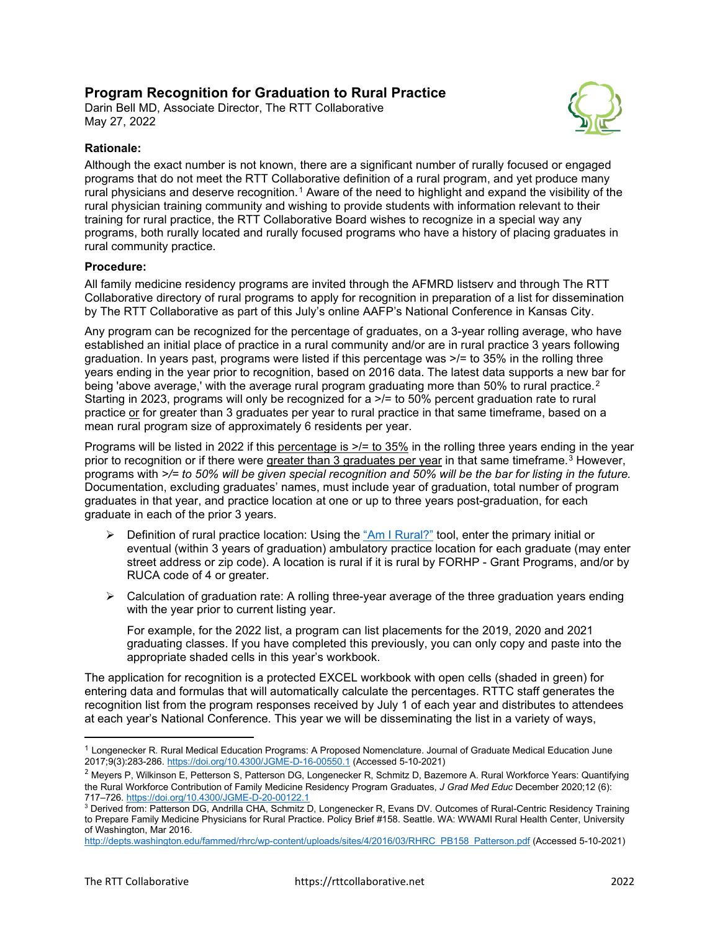## **Program Recognition for Graduation to Rural Practice**

Darin Bell MD, Associate Director, The RTT Collaborative May 27, 2022



## **Rationale:**

Although the exact number is not known, there are a significant number of rurally focused or engaged programs that do not meet the RTT Collaborative definition of a rural program, and yet produce many rural physicians and deserve recognition.<sup>[1](#page-0-0)</sup> Aware of the need to highlight and expand the visibility of the rural physician training community and wishing to provide students with information relevant to their training for rural practice, the RTT Collaborative Board wishes to recognize in a special way any programs, both rurally located and rurally focused programs who have a history of placing graduates in rural community practice.

## **Procedure:**

All family medicine residency programs are invited through the AFMRD listserv and through The RTT Collaborative directory of rural programs to apply for recognition in preparation of a list for dissemination by The RTT Collaborative as part of this July's online AAFP's National Conference in Kansas City.

Any program can be recognized for the percentage of graduates, on a 3-year rolling average, who have established an initial place of practice in a rural community and/or are in rural practice 3 years following graduation. In years past, programs were listed if this percentage was  $\ge$ /= to 35% in the rolling three years ending in the year prior to recognition, based on 2016 data. The latest data supports a new bar for being 'above average,' with the average rural program graduating more than 50% to rural practice.<sup>[2](#page-0-1)</sup> Starting in 2023, programs will only be recognized for a >/= to 50% percent graduation rate to rural practice or for greater than 3 graduates per year to rural practice in that same timeframe, based on a mean rural program size of approximately 6 residents per year.

Programs will be listed in 2022 if this percentage is  $\ge$ /= to 35% in the rolling three years ending in the year prior to recognition or if there were greater than 3 graduates per year in that same timeframe.[3](#page-0-2) However, programs with *>/= to 50% will be given special recognition and 50% will be the bar for listing in the future.* Documentation, excluding graduates' names, must include year of graduation, total number of program graduates in that year, and practice location at one or up to three years post-graduation, for each graduate in each of the prior 3 years.

- $\triangleright$  Definition of rural practice location: Using the ["Am I Rural?"](https://www.ruralhealthinfo.org/am-i-rural) tool, enter the primary initial or eventual (within 3 years of graduation) ambulatory practice location for each graduate (may enter street address or zip code). A location is rural if it is rural by FORHP - Grant Programs, and/or by RUCA code of 4 or greater.
- $\triangleright$  Calculation of graduation rate: A rolling three-year average of the three graduation years ending with the year prior to current listing year.

For example, for the 2022 list, a program can list placements for the 2019, 2020 and 2021 graduating classes. If you have completed this previously, you can only copy and paste into the appropriate shaded cells in this year's workbook.

The application for recognition is a protected EXCEL workbook with open cells (shaded in green) for entering data and formulas that will automatically calculate the percentages. RTTC staff generates the recognition list from the program responses received by July 1 of each year and distributes to attendees at each year's National Conference. This year we will be disseminating the list in a variety of ways,

<span id="page-0-0"></span><sup>&</sup>lt;sup>1</sup> Longenecker R. Rural Medical Education Programs: A Proposed Nomenclature. Journal of Graduate Medical Education June 2017;9(3):283-286.<https://doi.org/10.4300/JGME-D-16-00550.1> (Accessed 5-10-2021)

<span id="page-0-1"></span><sup>&</sup>lt;sup>2</sup> Meyers P, Wilkinson E, Petterson S, Patterson DG, Longenecker R, Schmitz D, Bazemore A. Rural Workforce Years: Quantifying the Rural Workforce Contribution of Family Medicine Residency Program Graduates, *J Grad Med Educ* December 2020;12 (6): 717–726[. https://doi.org/10.4300/JGME-D-20-00122.1](https://doi.org/10.4300/JGME-D-20-00122.1)

<span id="page-0-2"></span><sup>3</sup> Derived from: Patterson DG, Andrilla CHA, Schmitz D, Longenecker R, Evans DV. Outcomes of Rural-Centric Residency Training to Prepare Family Medicine Physicians for Rural Practice. Policy Brief #158. Seattle. WA: WWAMI Rural Health Center, University of Washington, Mar 2016.

[http://depts.washington.edu/fammed/rhrc/wp-content/uploads/sites/4/2016/03/RHRC\\_PB158\\_Patterson.pdf](http://depts.washington.edu/fammed/rhrc/wp-content/uploads/sites/4/2016/03/RHRC_PB158_Patterson.pdf) (Accessed 5-10-2021)